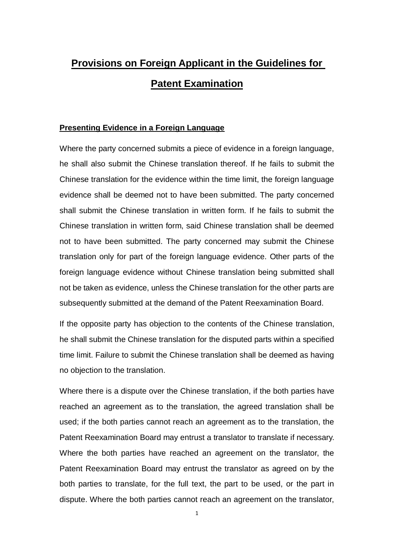# **Provisions on Foreign Applicant in the Guidelines for Patent Examination**

#### **Presenting Evidence in a Foreign Language**

Where the party concerned submits a piece of evidence in a foreign language, he shall also submit the Chinese translation thereof. If he fails to submit the Chinese translation for the evidence within the time limit, the foreign language evidence shall be deemed not to have been submitted. The party concerned shall submit the Chinese translation in written form. If he fails to submit the Chinese translation in written form, said Chinese translation shall be deemed not to have been submitted. The party concerned may submit the Chinese translation only for part of the foreign language evidence. Other parts of the foreign language evidence without Chinese translation being submitted shall not be taken as evidence, unless the Chinese translation for the other parts are subsequently submitted at the demand of the Patent Reexamination Board.

If the opposite party has objection to the contents of the Chinese translation, he shall submit the Chinese translation for the disputed parts within a specified time limit. Failure to submit the Chinese translation shall be deemed as having no objection to the translation.

Where there is a dispute over the Chinese translation, if the both parties have reached an agreement as to the translation, the agreed translation shall be used; if the both parties cannot reach an agreement as to the translation, the Patent Reexamination Board may entrust a translator to translate if necessary. Where the both parties have reached an agreement on the translator, the Patent Reexamination Board may entrust the translator as agreed on by the both parties to translate, for the full text, the part to be used, or the part in dispute. Where the both parties cannot reach an agreement on the translator,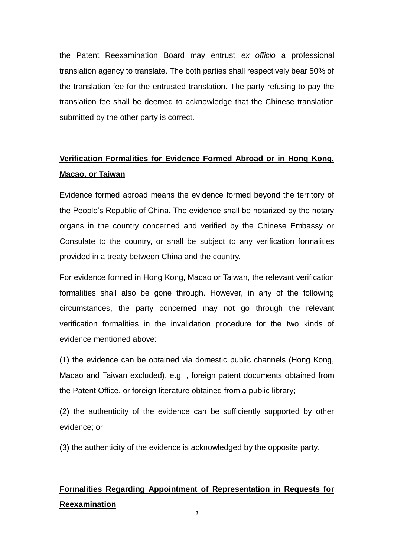the Patent Reexamination Board may entrust *ex officio* a professional translation agency to translate. The both parties shall respectively bear 50% of the translation fee for the entrusted translation. The party refusing to pay the translation fee shall be deemed to acknowledge that the Chinese translation submitted by the other party is correct.

# **Verification Formalities for Evidence Formed Abroad or in Hong Kong, Macao, or Taiwan**

Evidence formed abroad means the evidence formed beyond the territory of the People's Republic of China. The evidence shall be notarized by the notary organs in the country concerned and verified by the Chinese Embassy or Consulate to the country, or shall be subject to any verification formalities provided in a treaty between China and the country.

For evidence formed in Hong Kong, Macao or Taiwan, the relevant verification formalities shall also be gone through. However, in any of the following circumstances, the party concerned may not go through the relevant verification formalities in the invalidation procedure for the two kinds of evidence mentioned above:

(1) the evidence can be obtained via domestic public channels (Hong Kong, Macao and Taiwan excluded), e.g. , foreign patent documents obtained from the Patent Office, or foreign literature obtained from a public library;

(2) the authenticity of the evidence can be sufficiently supported by other evidence; or

(3) the authenticity of the evidence is acknowledged by the opposite party.

# **Formalities Regarding Appointment of Representation in Requests for Reexamination**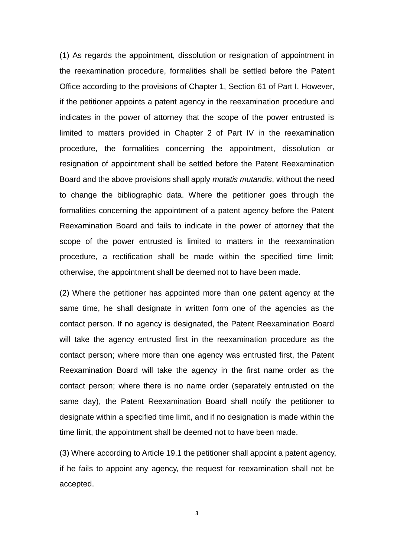(1) As regards the appointment, dissolution or resignation of appointment in the reexamination procedure, formalities shall be settled before the Patent Office according to the provisions of Chapter 1, Section 61 of Part I. However, if the petitioner appoints a patent agency in the reexamination procedure and indicates in the power of attorney that the scope of the power entrusted is limited to matters provided in Chapter 2 of Part IV in the reexamination procedure, the formalities concerning the appointment, dissolution or resignation of appointment shall be settled before the Patent Reexamination Board and the above provisions shall apply *mutatis mutandis*, without the need to change the bibliographic data. Where the petitioner goes through the formalities concerning the appointment of a patent agency before the Patent Reexamination Board and fails to indicate in the power of attorney that the scope of the power entrusted is limited to matters in the reexamination procedure, a rectification shall be made within the specified time limit; otherwise, the appointment shall be deemed not to have been made.

(2) Where the petitioner has appointed more than one patent agency at the same time, he shall designate in written form one of the agencies as the contact person. If no agency is designated, the Patent Reexamination Board will take the agency entrusted first in the reexamination procedure as the contact person; where more than one agency was entrusted first, the Patent Reexamination Board will take the agency in the first name order as the contact person; where there is no name order (separately entrusted on the same day), the Patent Reexamination Board shall notify the petitioner to designate within a specified time limit, and if no designation is made within the time limit, the appointment shall be deemed not to have been made.

(3) Where according to Article 19.1 the petitioner shall appoint a patent agency, if he fails to appoint any agency, the request for reexamination shall not be accepted.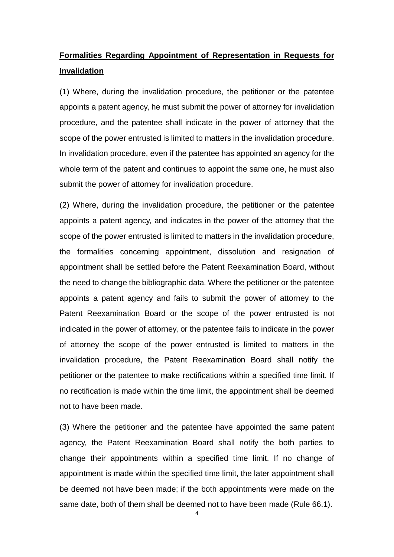# **Formalities Regarding Appointment of Representation in Requests for Invalidation**

(1) Where, during the invalidation procedure, the petitioner or the patentee appoints a patent agency, he must submit the power of attorney for invalidation procedure, and the patentee shall indicate in the power of attorney that the scope of the power entrusted is limited to matters in the invalidation procedure. In invalidation procedure, even if the patentee has appointed an agency for the whole term of the patent and continues to appoint the same one, he must also submit the power of attorney for invalidation procedure.

(2) Where, during the invalidation procedure, the petitioner or the patentee appoints a patent agency, and indicates in the power of the attorney that the scope of the power entrusted is limited to matters in the invalidation procedure, the formalities concerning appointment, dissolution and resignation of appointment shall be settled before the Patent Reexamination Board, without the need to change the bibliographic data. Where the petitioner or the patentee appoints a patent agency and fails to submit the power of attorney to the Patent Reexamination Board or the scope of the power entrusted is not indicated in the power of attorney, or the patentee fails to indicate in the power of attorney the scope of the power entrusted is limited to matters in the invalidation procedure, the Patent Reexamination Board shall notify the petitioner or the patentee to make rectifications within a specified time limit. If no rectification is made within the time limit, the appointment shall be deemed not to have been made.

(3) Where the petitioner and the patentee have appointed the same patent agency, the Patent Reexamination Board shall notify the both parties to change their appointments within a specified time limit. If no change of appointment is made within the specified time limit, the later appointment shall be deemed not have been made; if the both appointments were made on the same date, both of them shall be deemed not to have been made (Rule 66.1).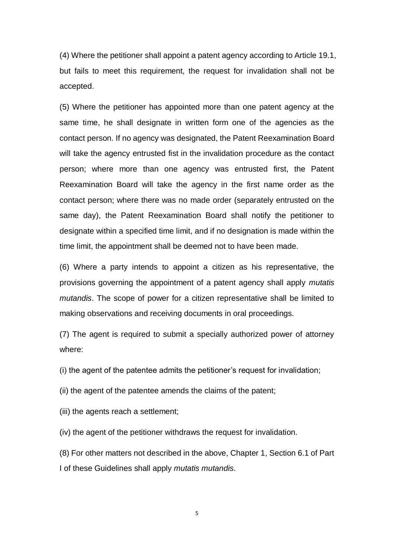(4) Where the petitioner shall appoint a patent agency according to Article 19.1, but fails to meet this requirement, the request for invalidation shall not be accepted.

(5) Where the petitioner has appointed more than one patent agency at the same time, he shall designate in written form one of the agencies as the contact person. If no agency was designated, the Patent Reexamination Board will take the agency entrusted fist in the invalidation procedure as the contact person; where more than one agency was entrusted first, the Patent Reexamination Board will take the agency in the first name order as the contact person; where there was no made order (separately entrusted on the same day), the Patent Reexamination Board shall notify the petitioner to designate within a specified time limit, and if no designation is made within the time limit, the appointment shall be deemed not to have been made.

(6) Where a party intends to appoint a citizen as his representative, the provisions governing the appointment of a patent agency shall apply *mutatis mutandis*. The scope of power for a citizen representative shall be limited to making observations and receiving documents in oral proceedings.

(7) The agent is required to submit a specially authorized power of attorney where:

(i) the agent of the patentee admits the petitioner's request for invalidation;

- (ii) the agent of the patentee amends the claims of the patent;
- (iii) the agents reach a settlement;

(iv) the agent of the petitioner withdraws the request for invalidation.

(8) For other matters not described in the above, Chapter 1, Section 6.1 of Part I of these Guidelines shall apply *mutatis mutandis*.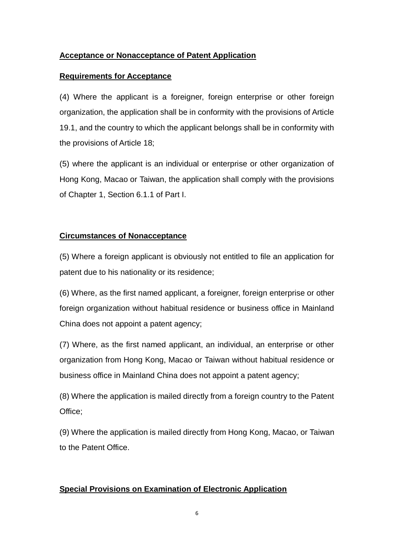## **Acceptance or Nonacceptance of Patent Application**

### **Requirements for Acceptance**

(4) Where the applicant is a foreigner, foreign enterprise or other foreign organization, the application shall be in conformity with the provisions of Article 19.1, and the country to which the applicant belongs shall be in conformity with the provisions of Article 18;

(5) where the applicant is an individual or enterprise or other organization of Hong Kong, Macao or Taiwan, the application shall comply with the provisions of Chapter 1, Section 6.1.1 of Part I.

## **Circumstances of Nonacceptance**

(5) Where a foreign applicant is obviously not entitled to file an application for patent due to his nationality or its residence;

(6) Where, as the first named applicant, a foreigner, foreign enterprise or other foreign organization without habitual residence or business office in Mainland China does not appoint a patent agency;

(7) Where, as the first named applicant, an individual, an enterprise or other organization from Hong Kong, Macao or Taiwan without habitual residence or business office in Mainland China does not appoint a patent agency;

(8) Where the application is mailed directly from a foreign country to the Patent Office;

(9) Where the application is mailed directly from Hong Kong, Macao, or Taiwan to the Patent Office.

## **Special Provisions on Examination of Electronic Application**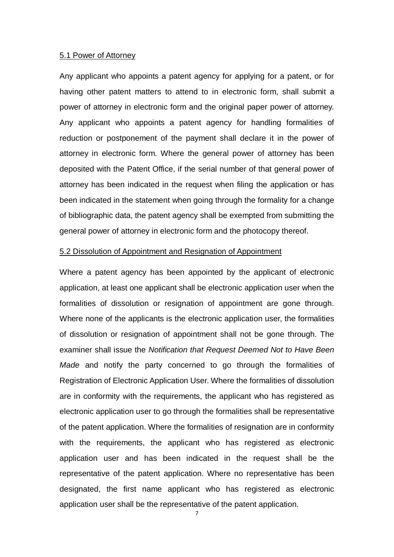#### 5.1 Power of Attorney

Any applicant who appoints a patent agency for applying for a patent, or for having other patent matters to attend to in electronic form, shall submit a power of attorney in electronic form and the original paper power of attorney. Any applicant who appoints a patent agency for handling formalities of reduction or postponement of the payment shall declare it in the power of attorney in electronic form. Where the general power of attorney has been deposited with the Patent Office, if the serial number of that general power of attorney has been indicated in the request when filing the application or has been indicated in the statement when going through the formality for a change of bibliographic data, the patent agency shall be exempted from submitting the general power of attorney in electronic form and the photocopy thereof.

#### 5.2 Dissolution of Appointment and Resignation of Appointment

Where a patent agency has been appointed by the applicant of electronic application, at least one applicant shall be electronic application user when the formalities of dissolution or resignation of appointment are gone through. Where none of the applicants is the electronic application user, the formalities of dissolution or resignation of appointment shall not be gone through. The examiner shall issue the *Notification that Request Deemed Not to Have Been Made* and notify the party concerned to go through the formalities of Registration of Electronic Application User. Where the formalities of dissolution are in conformity with the requirements, the applicant who has registered as electronic application user to go through the formalities shall be representative of the patent application. Where the formalities of resignation are in conformity with the requirements, the applicant who has registered as electronic application user and has been indicated in the request shall be the representative of the patent application. Where no representative has been designated, the first name applicant who has registered as electronic application user shall be the representative of the patent application.